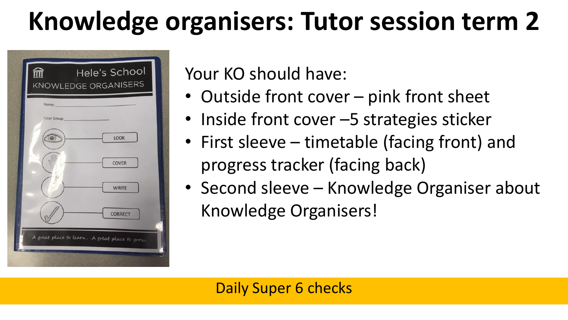## **Knowledge organisers: Tutor session term 2**



Your KO should have:

- Outside front cover pink front sheet
- Inside front cover -5 strategies sticker
- First sleeve timetable (facing front) and progress tracker (facing back)
- Second sleeve Knowledge Organiser about Knowledge Organisers!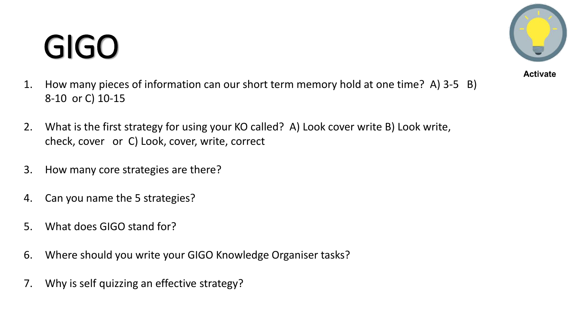## GIGO

- **Activate**
- 1. How many pieces of information can our short term memory hold at one time? A) 3-5 B) 8-10 or C) 10-15
- 2. What is the first strategy for using your KO called? A) Look cover write B) Look write, check, cover or C) Look, cover, write, correct
- 3. How many core strategies are there?
- 4. Can you name the 5 strategies?
- 5. What does GIGO stand for?
- 6. Where should you write your GIGO Knowledge Organiser tasks?
- 7. Why is self quizzing an effective strategy?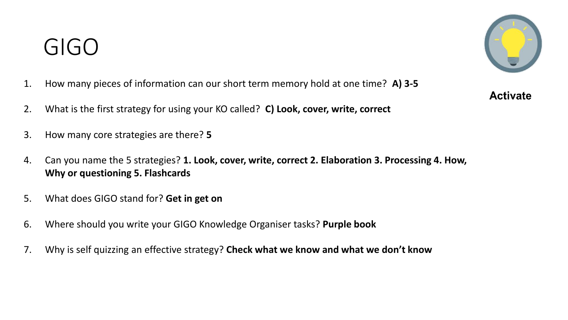### GIGO



- 1. How many pieces of information can our short term memory hold at one time? **A) 3-5**
- 2. What is the first strategy for using your KO called? **C) Look, cover, write, correct**
- 3. How many core strategies are there? **5**
- 4. Can you name the 5 strategies? **1. Look, cover, write, correct 2. Elaboration 3. Processing 4. How, Why or questioning 5. Flashcards**
- 5. What does GIGO stand for? **Get in get on**
- 6. Where should you write your GIGO Knowledge Organiser tasks? **Purple book**
- 7. Why is self quizzing an effective strategy? **Check what we know and what we don't know**

**Activate**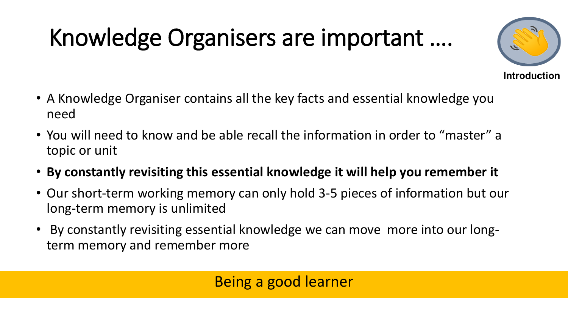## Knowledge Organisers are important ….



- A Knowledge Organiser contains all the key facts and essential knowledge you need
- You will need to know and be able recall the information in order to "master" a topic or unit
- **By constantly revisiting this essential knowledge it will help you remember it**
- Our short-term working memory can only hold 3-5 pieces of information but our long-term memory is unlimited
- By constantly revisiting essential knowledge we can move more into our longterm memory and remember more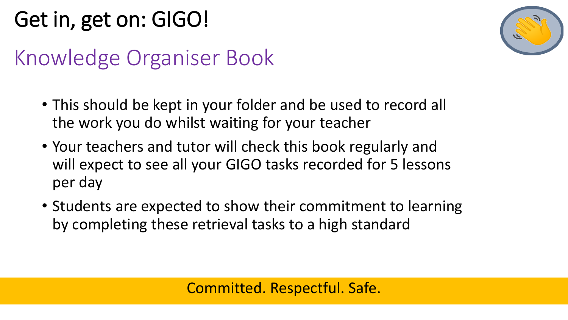### Get in, get on: GIGO!

### Knowledge Organiser Book

- This should be kept in your folder and be used to record all the work you do whilst waiting for your teacher
- Your teachers and tutor will check this book regularly and will expect to see all your GIGO tasks recorded for 5 lessons per day
- Students are expected to show their commitment to learning by completing these retrieval tasks to a high standard

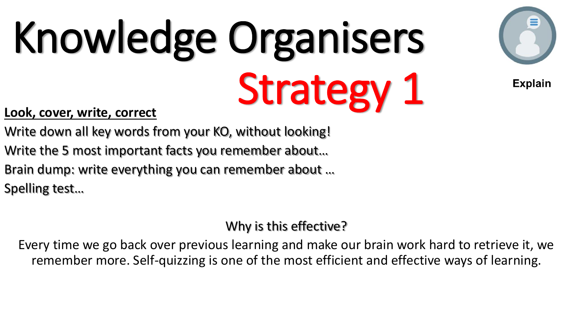

**Explain** 

#### **Look, cover, write, correct**

- Write down all key words from your KO, without looking!
- Write the 5 most important facts you remember about…
- Brain dump: write everything you can remember about …

Spelling test…

#### Why is this effective?

Every time we go back over previous learning and make our brain work hard to retrieve it, we remember more. Self-quizzing is one of the most efficient and effective ways of learning.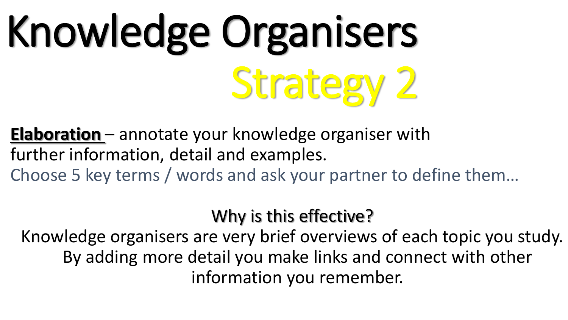**Elaboration** – annotate your knowledge organiser with further information, detail and examples. Choose 5 key terms / words and ask your partner to define them…

Why is this effective?

Knowledge organisers are very brief overviews of each topic you study. By adding more detail you make links and connect with other information you remember.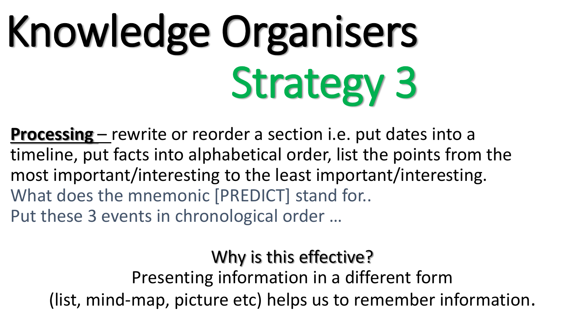**Processing** – rewrite or reorder a section i.e. put dates into a timeline, put facts into alphabetical order, list the points from the most important/interesting to the least important/interesting. What does the mnemonic [PREDICT] stand for.. Put these 3 events in chronological order …

Why is this effective?

Presenting information in a different form (list, mind-map, picture etc) helps us to remember information.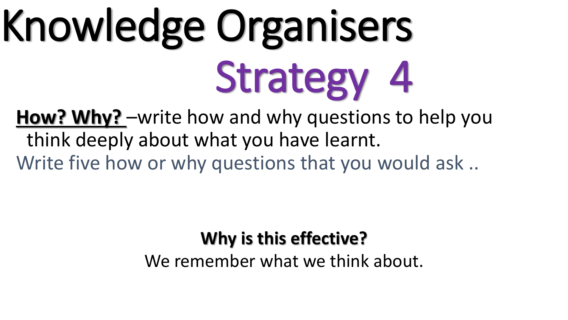**How? Why?** –write how and why questions to help you think deeply about what you have learnt. Write five how or why questions that you would ask..

#### **Why is this effective?**

We remember what we think about.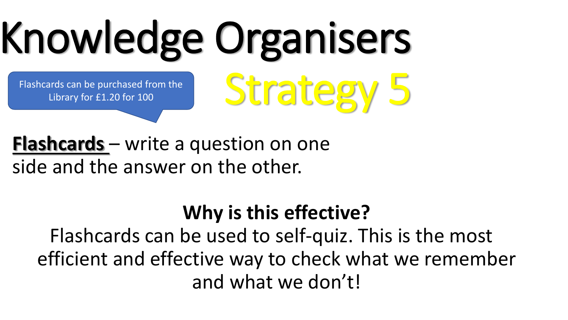### Knowledge Organisers Strategy 5 Flashcards can be purchased from the Library for £1.20 for 100

#### **Flashcards** – write a question on one side and the answer on the other.

### **Why is this effective?**

Flashcards can be used to self-quiz. This is the most efficient and effective way to check what we remember and what we don't!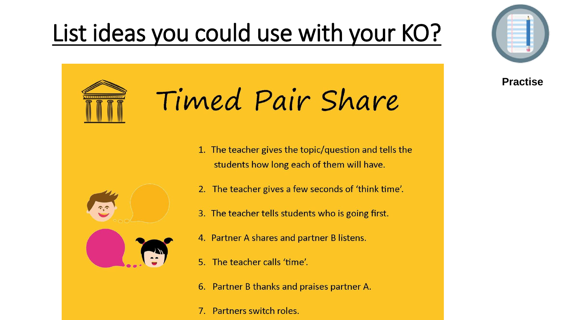### List ideas you could use with your KO?



**Practise**



## Timed Pair Share

1. The teacher gives the topic/question and tells the students how long each of them will have.



- 2. The teacher gives a few seconds of 'think time'.
- 3. The teacher tells students who is going first.
- 4. Partner A shares and partner B listens.
- 5. The teacher calls 'time'.
- 6. Partner B thanks and praises partner A.
- 7. Partners switch roles.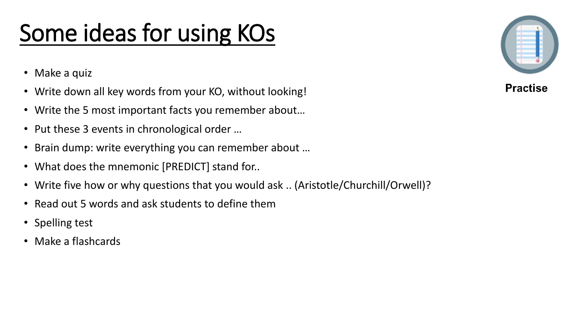### Some ideas for using KOs

- Make a quiz
- Write down all key words from your KO, without looking!
- Write the 5 most important facts you remember about…
- Put these 3 events in chronological order …
- Brain dump: write everything you can remember about …
- What does the mnemonic [PREDICT] stand for..
- Write five how or why questions that you would ask .. (Aristotle/Churchill/Orwell)?
- Read out 5 words and ask students to define them
- Spelling test
- Make a flashcards



**Practise**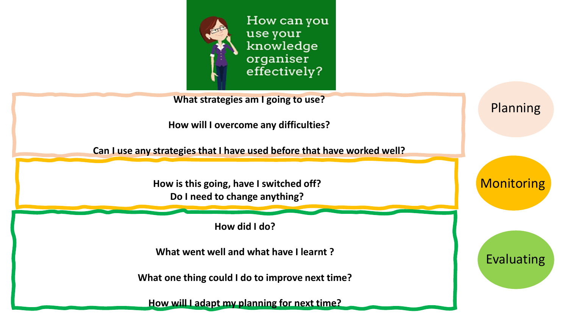

**What strategies am I going to use?**

**How will I overcome any difficulties?**

**Can I use any strategies that I have used before that have worked well?**

**How is this going, have I switched off? Do I need to change anything?**

**How did I do?**

**What went well and what have I learnt ?**

**What one thing could I do to improve next time?**

**How will I adapt my planning for next time?**

**Monitoring** 

Planning

Evaluating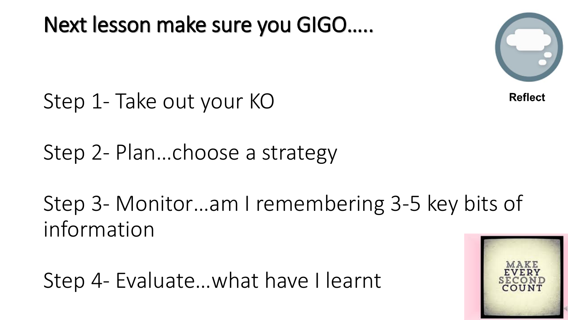Next lesson make sure you GIGO…..



**Reflect** 

Step 1- Take out your KO

Step 2- Plan…choose a strategy

Step 3- Monitor…am I remembering 3-5 key bits of information

Step 4- Evaluate…what have I learnt